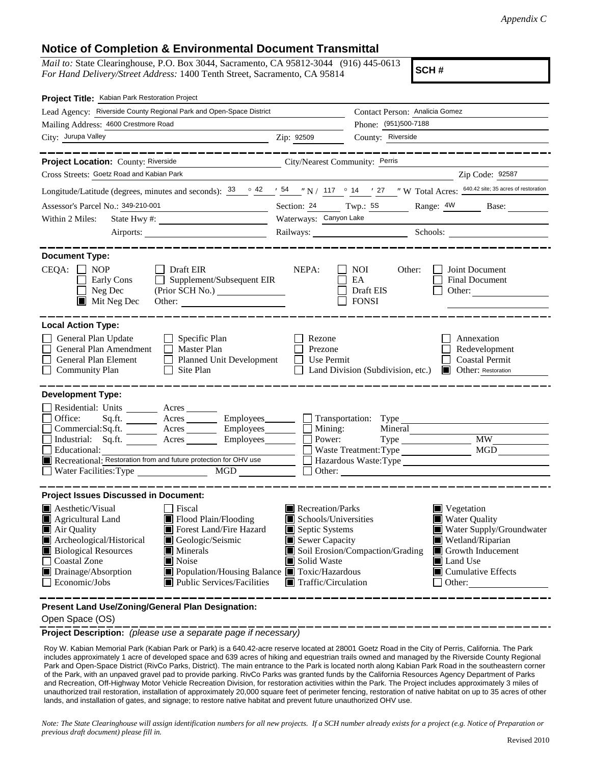## **Notice of Completion & Environmental Document Transmittal**

*Mail to:* State Clearinghouse, P.O. Box 3044, Sacramento, CA 95812-3044 (916) 445-0613 *For Hand Delivery/Street Address:* 1400 Tenth Street, Sacramento, CA 95814

**SCH #**

| Project Title: Kabian Park Restoration Project                                                                                                                                                                                                                                                                                                                                                 |                                                                                                                                                                                                                                                                                                                                       |                                                                    |                                                            |  |  |  |
|------------------------------------------------------------------------------------------------------------------------------------------------------------------------------------------------------------------------------------------------------------------------------------------------------------------------------------------------------------------------------------------------|---------------------------------------------------------------------------------------------------------------------------------------------------------------------------------------------------------------------------------------------------------------------------------------------------------------------------------------|--------------------------------------------------------------------|------------------------------------------------------------|--|--|--|
| Lead Agency: Riverside County Regional Park and Open-Space District                                                                                                                                                                                                                                                                                                                            | Contact Person: Analicia Gomez                                                                                                                                                                                                                                                                                                        |                                                                    |                                                            |  |  |  |
| Mailing Address: 4600 Crestmore Road                                                                                                                                                                                                                                                                                                                                                           | Phone: (951)500-7188                                                                                                                                                                                                                                                                                                                  |                                                                    |                                                            |  |  |  |
| City: Jurupa Valley                                                                                                                                                                                                                                                                                                                                                                            | Zip: 92509                                                                                                                                                                                                                                                                                                                            | County: Riverside                                                  |                                                            |  |  |  |
| Project Location: County: Riverside<br>City/Nearest Community: Perris                                                                                                                                                                                                                                                                                                                          |                                                                                                                                                                                                                                                                                                                                       |                                                                    |                                                            |  |  |  |
| Cross Streets: Goetz Road and Kabian Park                                                                                                                                                                                                                                                                                                                                                      |                                                                                                                                                                                                                                                                                                                                       |                                                                    | Zip Code: 92587                                            |  |  |  |
| Longitude/Latitude (degrees, minutes and seconds): $\frac{33}{ }$ $\degree$ $\frac{42}{ }$ $\frac{1}{ }$ 54 $\degree$ N / 117 $\degree$ 14 $\degree$ 27 $\degree$ W Total Acres: $\frac{640.42 \text{ site; 35 acres of restoration}}{640.42 \text{ site; 35 acres of restoration}}$                                                                                                           |                                                                                                                                                                                                                                                                                                                                       |                                                                    |                                                            |  |  |  |
| Assessor's Parcel No.: 349-210-001<br><u> 1989 - Johann Barbara, martxa a</u>                                                                                                                                                                                                                                                                                                                  | Section: 24 Twp.: 5S                                                                                                                                                                                                                                                                                                                  |                                                                    | Range: 4W Base:                                            |  |  |  |
| Within 2 Miles:                                                                                                                                                                                                                                                                                                                                                                                | Waterways: Canyon Lake                                                                                                                                                                                                                                                                                                                |                                                                    |                                                            |  |  |  |
|                                                                                                                                                                                                                                                                                                                                                                                                | Railways: Schools: Schools:                                                                                                                                                                                                                                                                                                           |                                                                    |                                                            |  |  |  |
| <b>Document Type:</b><br>CEQA:<br>$\Box$ Draft EIR<br>NOP<br>Supplement/Subsequent EIR<br>Early Cons<br>Neg Dec<br>Mit Neg Dec                                                                                                                                                                                                                                                                 | NEPA:                                                                                                                                                                                                                                                                                                                                 | <b>NOI</b><br>Other:<br>EA<br>Draft EIS<br><b>FONSI</b>            | Joint Document<br>Final Document<br>Other: $\qquad \qquad$ |  |  |  |
| <b>Local Action Type:</b>                                                                                                                                                                                                                                                                                                                                                                      |                                                                                                                                                                                                                                                                                                                                       |                                                                    |                                                            |  |  |  |
| General Plan Update<br>$\Box$ Specific Plan<br>General Plan Amendment<br>$\Box$ Master Plan<br>General Plan Element<br>Planned Unit Development<br><b>Community Plan</b><br>$\Box$ Site Plan                                                                                                                                                                                                   | Rezone<br>Annexation<br>Prezone<br>Redevelopment<br><b>Coastal Permit</b><br>Use Permit<br>Land Division (Subdivision, etc.)<br>Other: Restoration                                                                                                                                                                                    |                                                                    |                                                            |  |  |  |
| <b>Development Type:</b>                                                                                                                                                                                                                                                                                                                                                                       |                                                                                                                                                                                                                                                                                                                                       |                                                                    |                                                            |  |  |  |
| Residential: Units ________ Acres _______<br>Office:<br>$Sq.ft.$ Acres Employees Transportation: Type<br>Commercial:Sq.ft. ________ Acres _________ Employees ________ __ Mining:<br>Industrial: Sq.ft. _______ Acres ________ Employees _______ $\Box$<br>Educational:<br>Recreational: Restoration from and future protection for OHV use                                                    | Power:                                                                                                                                                                                                                                                                                                                                | Mineral<br>Waste Treatment: Type<br>Hazardous Waste:Type<br>Other: | MGD                                                        |  |  |  |
| <b>Project Issues Discussed in Document:</b>                                                                                                                                                                                                                                                                                                                                                   |                                                                                                                                                                                                                                                                                                                                       |                                                                    |                                                            |  |  |  |
| Aesthetic/Visual<br>Fiscal<br>$\blacksquare$ Flood Plain/Flooding<br>Agricultural Land<br>Forest Land/Fire Hazard<br>Air Quality<br>Archeological/Historical<br>Geologic/Seismic<br><b>Biological Resources</b><br>$\blacksquare$ Minerals<br><b>Coastal Zone</b><br>Noise<br>Drainage/Absorption<br>Population/Housing Balance Toxic/Hazardous<br>Economic/Jobs<br>Public Services/Facilities | $\blacksquare$ Recreation/Parks<br>$\blacksquare$ Vegetation<br>Water Quality<br>Schools/Universities<br>Septic Systems<br>Sewer Capacity<br>Wetland/Riparian<br>Soil Erosion/Compaction/Grading<br>Growth Inducement<br>Solid Waste<br>Land Use<br>$\blacksquare$ Cumulative Effects<br>$\blacksquare$ Traffic/Circulation<br>Other: |                                                                    | Water Supply/Groundwater                                   |  |  |  |

**Present Land Use/Zoning/General Plan Designation:**

Open Space (OS)

**Project Description:** *(please use a separate page if necessary)*

 Roy W. Kabian Memorial Park (Kabian Park or Park) is a 640.42-acre reserve located at 28001 Goetz Road in the City of Perris, California. The Park includes approximately 1 acre of developed space and 639 acres of hiking and equestrian trails owned and managed by the Riverside County Regional Park and Open-Space District (RivCo Parks, District). The main entrance to the Park is located north along Kabian Park Road in the southeastern corner of the Park, with an unpaved gravel pad to provide parking. RivCo Parks was granted funds by the California Resources Agency Department of Parks and Recreation, Off-Highway Motor Vehicle Recreation Division, for restoration activities within the Park. The Project includes approximately 3 miles of unauthorized trail restoration, installation of approximately 20,000 square feet of perimeter fencing, restoration of native habitat on up to 35 acres of other lands, and installation of gates, and signage; to restore native habitat and prevent future unauthorized OHV use.

*Note: The State Clearinghouse will assign identification numbers for all new projects. If a SCH number already exists for a project (e.g. Notice of Preparation or previous draft document) please fill in.*